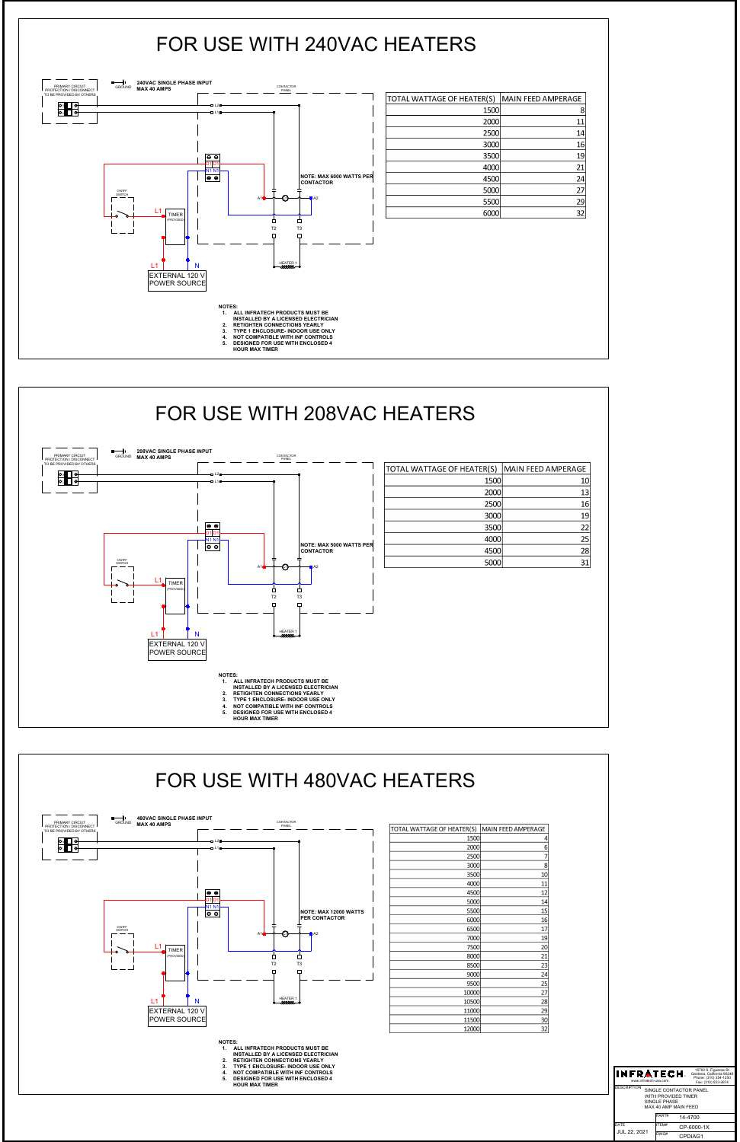



| 15700 S. Figueroa St.<br>INFRATECH.<br>Gardena, California 90248<br>Phone: (310) 354-1250<br>www.infratech-usa.com<br>Fax: (310) 523-3674<br><b>DESCRIPTION</b><br>SINGLE CONTACTOR PANEL<br>WITH PROVIDED TIMER<br>SINGLE PHASE<br>MAX 40 AMP MAIN FFED |             |      |         |
|----------------------------------------------------------------------------------------------------------------------------------------------------------------------------------------------------------------------------------------------------------|-------------|------|---------|
|                                                                                                                                                                                                                                                          |             |      |         |
|                                                                                                                                                                                                                                                          |             |      |         |
|                                                                                                                                                                                                                                                          | <b>DATE</b> |      |         |
| ITEM#<br>CP-6000-1X<br>JUL 22, 2021                                                                                                                                                                                                                      |             | DWG# | CPDIAG1 |



| <b>1200</b> | 4               |
|-------------|-----------------|
| 2000        | 6               |
| 2500        | 7               |
| 3000        | 8               |
| 3500        | 10              |
| 4000        | 11              |
| 4500        | 12              |
| 5000        | 14              |
| 5500        | 15              |
| 6000        | 16              |
| 6500        | 17              |
| 7000        | 19              |
| 7500        | 20              |
| 8000        | 21              |
| 8500        | 23              |
| 9000        | $\overline{24}$ |
| 9500        | 25              |
| 10000       | $\overline{27}$ |
| 10500       | $\overline{28}$ |
| 11000       | $\frac{29}{2}$  |
| 11500       | 30              |
| 12000       | 32              |